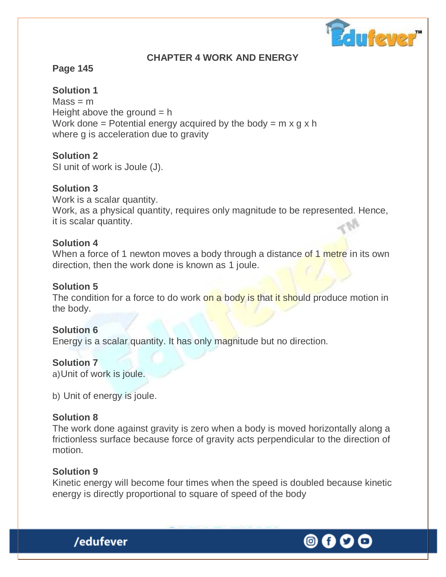

### **CHAPTER 4 WORK AND ENERGY**

### **Page 145**

**Solution 1**

 $Mass = m$ Height above the ground  $= h$ Work done = Potential energy acquired by the body =  $m \times g \times h$ where g is acceleration due to gravity

### **Solution 2**

SI unit of work is Joule (J).

### **Solution 3**

Work is a scalar quantity. Work, as a physical quantity, requires only magnitude to be represented. Hence, it is scalar quantity.

#### **Solution 4**

When a force of 1 newton moves a body through a distance of 1 metre in its own direction, then the work done is known as 1 joule.

### **Solution 5**

The condition for a force to do work on a body is that it should produce motion in the body.

#### **Solution 6**

Energy is a scalar quantity. It has only magnitude but no direction.

#### **Solution 7**

a)Unit of work is joule.

b) Unit of energy is joule.

/edufever

#### **Solution 8**

The work done against gravity is zero when a body is moved horizontally along a frictionless surface because force of gravity acts perpendicular to the direction of motion.

#### **Solution 9**

Kinetic energy will become four times when the speed is doubled because kinetic energy is directly proportional to square of speed of the body

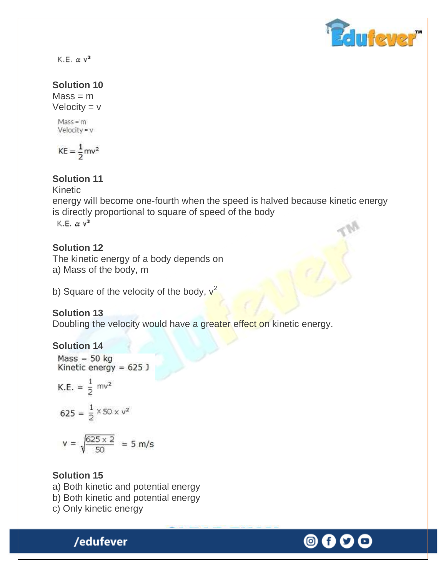

K.E.  $\alpha$   $v^2$ 

### **Solution 10**

 $Mass = m$ Velocity  $= v$ 

 $Mass = m$  $Velocity = v$ 

$$
KE = \frac{1}{2}mv^2
$$

### **Solution 11**

Kinetic

energy will become one-fourth when the speed is halved because kinetic energy is directly proportional to square of speed of the body K.E.  $\alpha$   $v^2$ 

### **Solution 12**

The kinetic energy of a body depends on a) Mass of the body, m

b) Square of the velocity of the body,  $v^2$ 

### **Solution 13**

Doubling the velocity would have a greater effect on kinetic energy.

#### **Solution 14**

 $Mass = 50 kg$ Kinetic energy =  $625$  J K.E. =  $\frac{1}{2}$  mv<sup>2</sup>  $625 = \frac{1}{2} \times 50 \times v^2$  $v = \sqrt{\frac{625 \times 2}{50}} = 5$  m/s

#### **Solution 15**

- a) Both kinetic and potential energy
- b) Both kinetic and potential energy
- c) Only kinetic energy

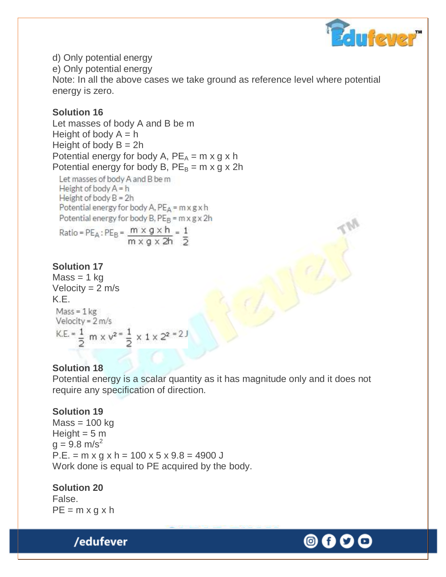

d) Only potential energy e) Only potential energy Note: In all the above cases we take ground as reference level where potential energy is zero.

### **Solution 16**

Let masses of body A and B be m Height of body  $A = h$ Height of body  $B = 2h$ Potential energy for body A,  $PE_A = m \times g \times h$ Potential energy for body B,  $PE_B = m \times g \times 2h$ 

Let masses of body A and B be m Height of body  $A = h$ Height of body  $B = 2h$ Potential energy for body A,  $PE_A = m \times g \times h$ Potential energy for body B,  $PE_B$  = m x g x 2h

Ratio =  $PE_A$ :  $PE_B = \frac{m \times g \times h}{m \times g \times 2h} = \frac{1}{2}$ 

#### **Solution 17**

 $Mass = 1$  kg Velocity  $= 2$  m/s K.E.  $Mass = 1$  kg Velocity =  $2 \text{ m/s}$ K.E. =  $\frac{1}{2}$  m x v<sup>2</sup> =  $\frac{1}{2}$  x 1 x 2<sup>2</sup> = 2 J

#### **Solution 18**

Potential energy is a scalar quantity as it has magnitude only and it does not require any specification of direction.

#### **Solution 19**

 $Mass = 100$  kg Height  $= 5$  m  $g = 9.8$  m/s<sup>2</sup>  $P.E. = m \times g \times h = 100 \times 5 \times 9.8 = 4900 J$ Work done is equal to PE acquired by the body.

#### **Solution 20**

False.  $PE = m \times g \times h$ 

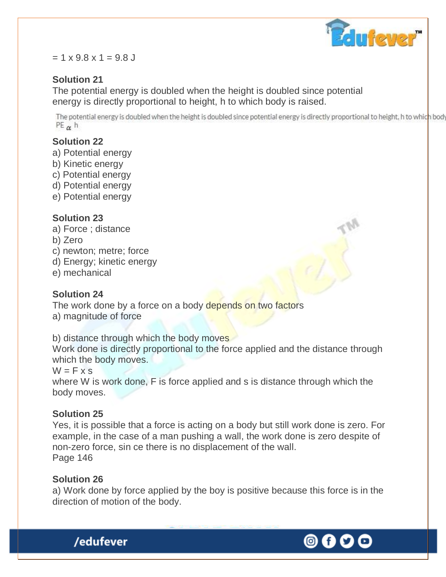

#### $= 1 \times 9.8 \times 1 = 9.8$  J

### **Solution 21**

The potential energy is doubled when the height is doubled since potential energy is directly proportional to height, h to which body is raised.

The potential energy is doubled when the height is doubled since potential energy is directly proportional to height, h to which body  $PE_{\alpha}$  h

### **Solution 22**

- a) Potential energy
- b) Kinetic energy
- c) Potential energy
- d) Potential energy
- e) Potential energy

### **Solution 23**

- a) Force ; distance
- b) Zero
- c) newton; metre; force
- d) Energy; kinetic energy
- e) mechanical

### **Solution 24**

The work done by a force on a body depends on two factors a) magnitude of force

b) distance through which the body moves

Work done is directly proportional to the force applied and the distance through which the body moves.

 $W = F \times S$ 

where W is work done, F is force applied and s is distance through which the body moves.

### **Solution 25**

Yes, it is possible that a force is acting on a body but still work done is zero. For example, in the case of a man pushing a wall, the work done is zero despite of non-zero force, sin ce there is no displacement of the wall. Page 146

### **Solution 26**

/edufever

a) Work done by force applied by the boy is positive because this force is in the direction of motion of the body.

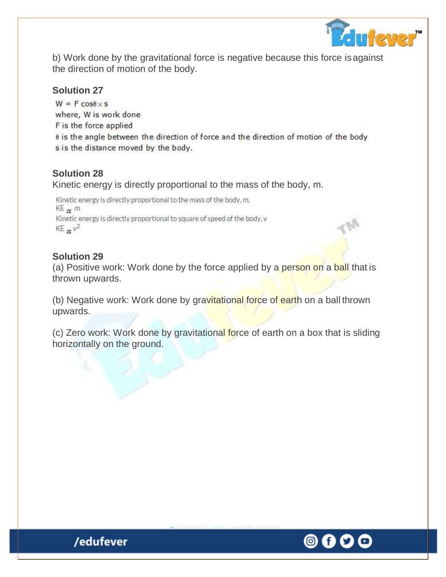

b) Work done by the gravitational force is negative because this force isagainst the direction of motion of the body.

### **Solution 27**

 $W = F \cos \theta \times s$ where, W is work done F is the force applied 0 is the angle between the direction of force and the direction of motion of the body s is the distance moved by the body.

### **Solution 28**

Kinetic energy is directly proportional to the mass of the body, m.

Kinetic energy is directly proportional to the mass of the body, m.  $KE_{\alpha}$  m Kinetic energy is directly proportional to square of speed of the body, v  $KE_{\alpha}$  $v^2$ 

### **Solution 29**

(a) Positive work: Work done by the force applied by a person on a ball that is thrown upwards.

(b) Negative work: Work done by gravitational force of earth on a ball thrown upwards.

(c) Zero work: Work done by gravitational force of earth on a box that is sliding horizontally on the ground.

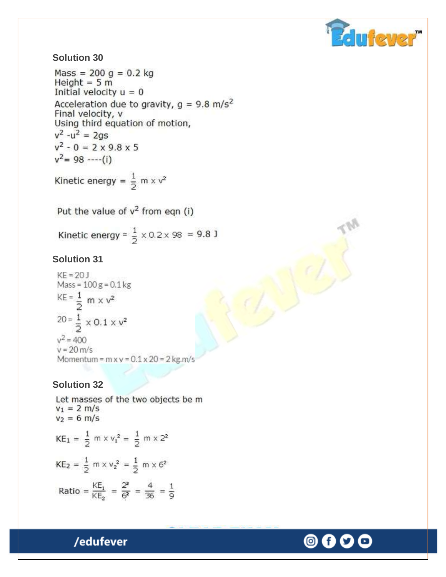

#### **Solution 30**

 $Mass = 200 g = 0.2 kg$ Height =  $5 m$ Initial velocity  $u = 0$ Acceleration due to gravity,  $q = 9.8$  m/s<sup>2</sup> Final velocity, v Using third equation of motion,  $v^2 - u^2 = 2gs$  $v^2 - 0 = 2 \times 9.8 \times 5$  $v^2$ = 98 ----(i)

Kinetic energy =  $\frac{1}{2}$  m x v<sup>2</sup>

Put the value of  $v^2$  from eqn (i)

Kinetic energy =  $\frac{1}{2} \times 0.2 \times 98 = 9.8$  J

#### **Solution 31**

 $KF = 20$  $Mass = 100 g = 0.1 kg$  $KE = \frac{1}{2}$  m x v<sup>2</sup>  $20 = \frac{1}{2} \times 0.1 \times v^2$  $v^2 = 400$  $v = 20$  m/s Momentum =  $m \times v$  =  $0.1 \times 20$  =  $2 \text{ kg.m/s}$ 

#### **Solution 32**

Let masses of the two objects be m  $v_1 = 2$  m/s  $v_2 = 6$  m/s  $KE_1 = \frac{1}{2}$  m x  $v_1^2 = \frac{1}{2}$  m x 2<sup>2</sup>  $KE_2 = \frac{1}{2} m \times v_2^2 = \frac{1}{2} m \times 6^2$ Ratio =  $\frac{KE_1}{KE_2}$  =  $\frac{2^2}{6^2}$  =  $\frac{4}{36}$  =  $\frac{1}{9}$ 

/edufever

# 0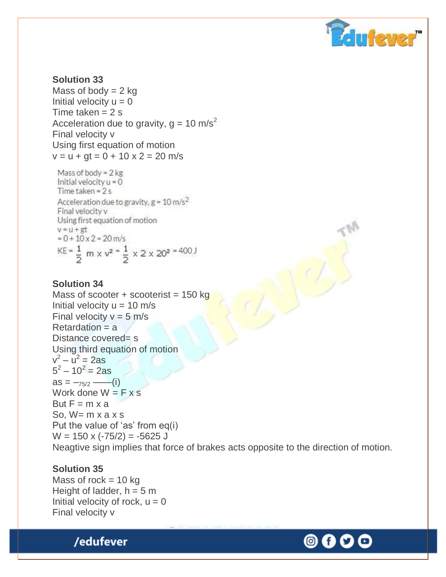

#### **Solution 33** Mass of body  $= 2$  kg Initial velocity  $u = 0$ Time taken  $= 2$  s Acceleration due to gravity,  $g = 10 \text{ m/s}^2$ Final velocity v Using first equation of motion  $v = u + gt = 0 + 10 \times 2 = 20$  m/s

Mass of body =  $2$  kg Initial velocity  $u = 0$ Time taken =  $2s$ Acceleration due to gravity,  $g = 10 \text{ m/s}^2$ Final velocity v Using first equation of motion  $v = u + gt$  $= 0 + 10 \times 2 = 20$  m/s  $KE = \frac{1}{2}$  m x  $v^2 = \frac{1}{2}$  x 2 x 20<sup>2</sup> = 400 J

#### **Solution 34**

Mass of scooter  $+$  scooterist = 150 kg Initial velocity  $u = 10$  m/s Final velocity  $v = 5$  m/s Retardation = a Distance covered= s Using third equation of motion  $v^2 - u^2 = 2as$  $5^2 - 10^2 = 2$ as  $as = -75/2$  ——(i) Work done  $W = F \times s$ But  $F = m \times a$ So,  $W = m \times a \times s$ Put the value of 'as' from eq(i)  $W = 150 \times (-75/2) = -5625$  J Neagtive sign implies that force of brakes acts opposite to the direction of motion.

#### **Solution 35**

Mass of rock  $= 10$  kg Height of ladder,  $h = 5$  m Initial velocity of rock,  $u = 0$ Final velocity v



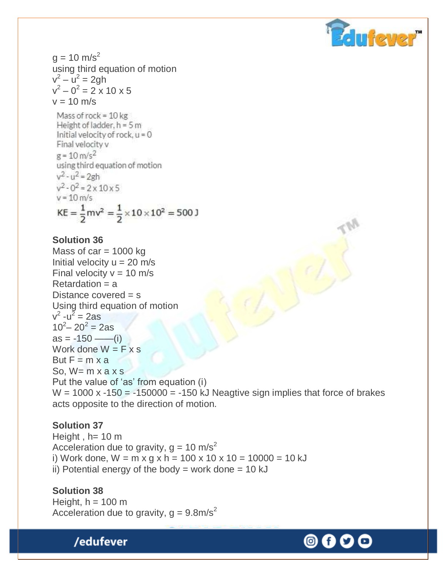

 $g = 10$  m/s<sup>2</sup> using third equation of motion  $v^2 - u^2 = 2gh$  $v^2 - 0^2 = 2 \times 10 \times 5$  $v = 10$  m/s

Mass of rock =  $10$  kg Height of ladder,  $h = 5m$ Initial velocity of rock,  $u = 0$ Final velocity v  $g = 10 \text{ m/s}^2$ using third equation of motion  $v^2 - u^2 = 2gh$  $v^2 - 0^2 = 2 \times 10 \times 5$  $v = 10$  m/s  $KE = \frac{1}{2}mv^2 = \frac{1}{2} \times 10 \times 10^2 = 500 \text{ J}$ 

#### **Solution 36**

Mass of  $car = 1000$  kg Initial velocity  $u = 20$  m/s Final velocity  $v = 10$  m/s  $Retardation = a$ Distance covered = s Using third equation of motion  $v^2$  -u<sup> $\overline{z}$ </sup> = 2as  $10^2 - 20^2 = 2$ as  $as = -150$  ——(i) Work done  $W = F \times s$ But  $F = m \times a$ So,  $W= m \times a \times s$ Put the value of 'as' from equation (i)  $W = 1000$  x -150 = -150000 = -150 kJ Neagtive sign implies that force of brakes acts opposite to the direction of motion.

#### **Solution 37**

Height,  $h= 10 \text{ m}$ Acceleration due to gravity,  $g = 10$  m/s<sup>2</sup> i) Work done,  $W = m \times g \times h = 100 \times 10 \times 10 = 10000 = 10 \text{ kJ}$ ii) Potential energy of the body  $=$  work done  $=$  10 kJ

#### **Solution 38**

Height,  $h = 100$  m Acceleration due to gravity,  $g = 9.8 \text{m/s}^2$ 

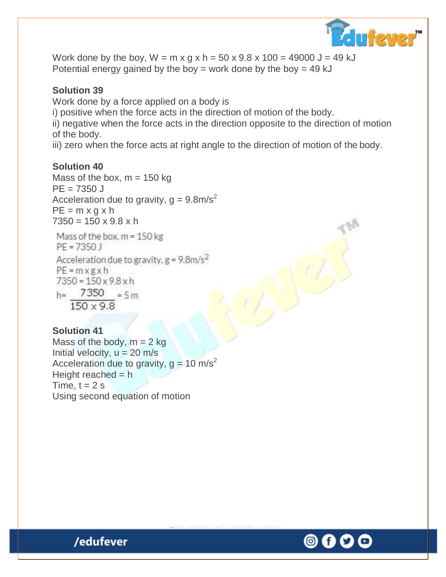

Work done by the boy,  $W = m \times g \times h = 50 \times 9.8 \times 100 = 49000 \text{ J} = 49 \text{ kJ}$ Potential energy gained by the boy = work done by the boy = 49 kJ

### **Solution 39**

Work done by a force applied on a body is

i) positive when the force acts in the direction of motion of the body.

ii) negative when the force acts in the direction opposite to the direction of motion of the body.

iii) zero when the force acts at right angle to the direction of motion of the body.

### **Solution 40**

Mass of the box,  $m = 150$  kg  $PE = 7350 J$ Acceleration due to gravity,  $q = 9.8$ m/s<sup>2</sup>  $PE = m \times q \times h$  $7350 = 150 \times 9.8 \times h$ 

Mass of the box,  $m = 150$  kg  $PE = 7350$ Acceleration due to gravity,  $g = 9.8$ m/s<sup>2</sup>  $PE = mxgxh$  $7350 = 150 \times 9.8 \times h$  $h = 7350 = 5m$  $150 \times 9.8$ 

#### **Solution 41**

Mass of the body,  $m = 2$  kg Initial velocity,  $u = 20$  m/s Acceleration due to gravity,  $g = 10$  m/s<sup>2</sup> Height reached  $= h$ Time,  $t = 2$  s Using second equation of motion

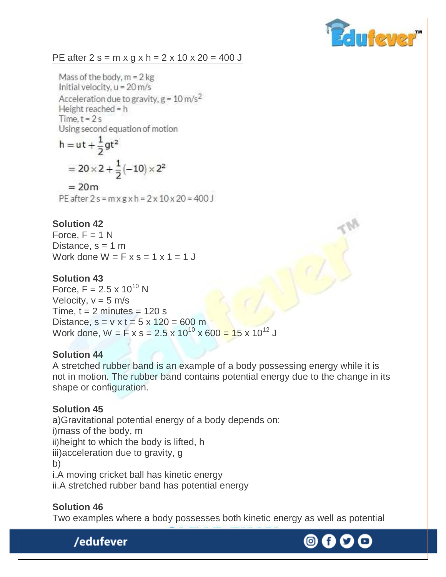

#### PE after  $2 s = m \times g \times h = 2 \times 10 \times 20 = 400 J$

Mass of the body,  $m = 2$  kg Initial velocity,  $u = 20$  m/s Acceleration due to gravity,  $g = 10 \text{ m/s}^2$ Height reached = h Time,  $t = 2s$ Using second equation of motion

h = ut + 
$$
\frac{1}{2}
$$
gt<sup>2</sup>  
= 20 × 2 +  $\frac{1}{2}$ (-10) × 2<sup>2</sup>  
= 20m  
PE after 2 s = m x g x h = 2 x 10 x 20 = 400 J

#### **Solution 42**

Force,  $F = 1 N$ Distance,  $s = 1$  m Work done  $W = F \times s = 1 \times 1 = 1$ 

#### **Solution 43**

Force,  $F = 2.5 \times 10^{10}$  N Velocity,  $v = 5$  m/s Time,  $t = 2$  minutes = 120 s Distance,  $s = v \times t = 5 \times 120 = 600$  m Work done,  $W = F x s = 2.5 x 10^{10} x 600 = 15 x 10^{12} J$ 

#### **Solution 44**

A stretched rubber band is an example of a body possessing energy while it is not in motion. The rubber band contains potential energy due to the change in its shape or configuration.

#### **Solution 45**

a)Gravitational potential energy of a body depends on: i)mass of the body, m ii)height to which the body is lifted, h iii)acceleration due to gravity, g b) i.A moving cricket ball has kinetic energy ii.A stretched rubber band has potential energy

#### **Solution 46**

Two examples where a body possesses both kinetic energy as well as potential



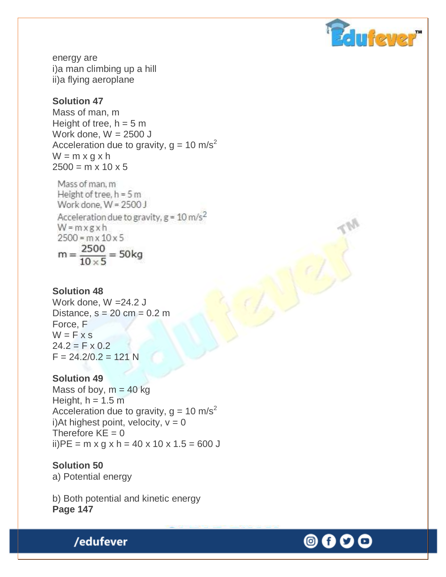

energy are i)a man climbing up a hill ii)a flying aeroplane

### **Solution 47**

Mass of man, m Height of tree,  $h = 5$  m Work done,  $W = 2500$  J Acceleration due to gravity,  $g = 10 \text{ m/s}^2$  $W = m \times g \times h$  $2500 = m \times 10 \times 5$ 

Mass of man, m Height of tree,  $h = 5m$ Work done,  $W = 2500$  J Acceleration due to gravity,  $g = 10$  m/s<sup>2</sup>  $W = mxgxh$  $2500 = m \times 10 \times 5$  $m = \frac{2500}{10 \times 5} = 50$ kg

#### **Solution 48**

Work done, W =24.2 J Distance,  $s = 20$  cm = 0.2 m Force, F  $W = F \times S$  $24.2 = F \times 0.2$  $F = 24.2/0.2 = 121$  N

#### **Solution 49**

Mass of boy,  $m = 40$  kg Height,  $h = 1.5$  m Acceleration due to gravity,  $g = 10 \text{ m/s}^2$ i)At highest point, velocity,  $v = 0$ Therefore  $KE = 0$ ii) $PE = m \times g \times h = 40 \times 10 \times 1.5 = 600 J$ 

#### **Solution 50**

a) Potential energy

b) Both potential and kinetic energy **Page 147**



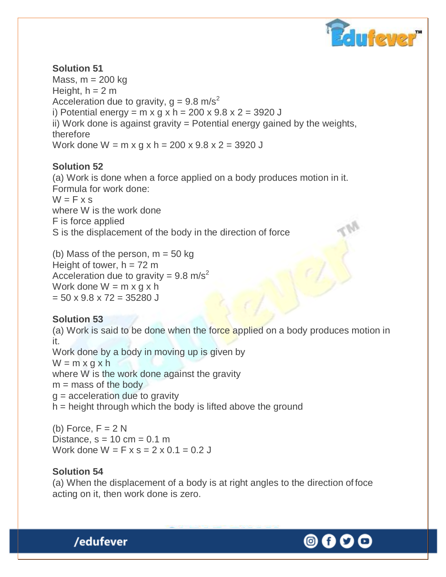

### **Solution 51**  Mass,  $m = 200$  kg Height,  $h = 2 m$ Acceleration due to gravity,  $q = 9.8$  m/s<sup>2</sup> i) Potential energy =  $m \times g \times h = 200 \times 9.8 \times 2 = 3920$  J ii) Work done is against gravity = Potential energy gained by the weights, therefore Work done  $W = m \times q \times h = 200 \times 9.8 \times 2 = 3920$  J

### **Solution 52**

(a) Work is done when a force applied on a body produces motion in it. Formula for work done:  $W = F \times S$ where W is the work done F is force applied S is the displacement of the body in the direction of force

(b) Mass of the person,  $m = 50$  kg Height of tower,  $h = 72$  m Acceleration due to gravity =  $9.8 \text{ m/s}^2$ Work done  $W = m \times g \times h$  $= 50 \times 9.8 \times 72 = 35280$  J

### **Solution 53**

(a) Work is said to be done when the force applied on a body produces motion in it. Work done by a body in moving up is given by  $W = m \times g \times h$ where W is the work done against the gravity  $m =$  mass of the body  $g =$  acceleration due to gravity  $h =$  height through which the body is lifted above the ground

(b) Force,  $F = 2 N$ Distance,  $s = 10$  cm = 0.1 m Work done  $W = F \times s = 2 \times 0.1 = 0.2$ 

#### **Solution 54**

(a) When the displacement of a body is at right angles to the direction of foce acting on it, then work done is zero.

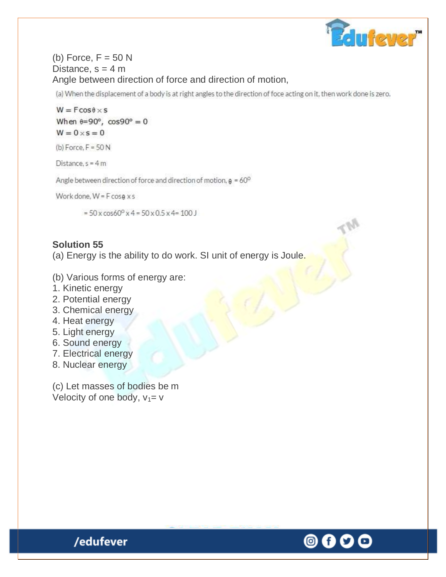

### (b) Force,  $F = 50$  N Distance,  $s = 4$  m Angle between direction of force and direction of motion,

(a) When the displacement of a body is at right angles to the direction of foce acting on it, then work done is zero.

 $W = F \cos \theta \times S$ When  $\theta = 90^\circ$ ,  $\cos 90^\circ = 0$  $W = 0 \times s = 0$ 

(b) Force,  $F = 50 N$ 

Distance,  $s = 4m$ 

Angle between direction of force and direction of motion,  $\theta = 60^{\circ}$ 

Work done,  $W = F \cos \theta \times s$ 

 $=$  50 x cos60<sup>o</sup> x 4 = 50 x 0.5 x 4 = 100 J

#### **Solution 55**

(a) Energy is the ability to do work. SI unit of energy is Joule.

- (b) Various forms of energy are:
- 1. Kinetic energy
- 2. Potential energy
- 3. Chemical energy
- 4. Heat energy
- 5. Light energy
- 6. Sound energy
- 7. Electrical energy
- 8. Nuclear energy

(c) Let masses of bodies be m Velocity of one body,  $v_1 = v$ 



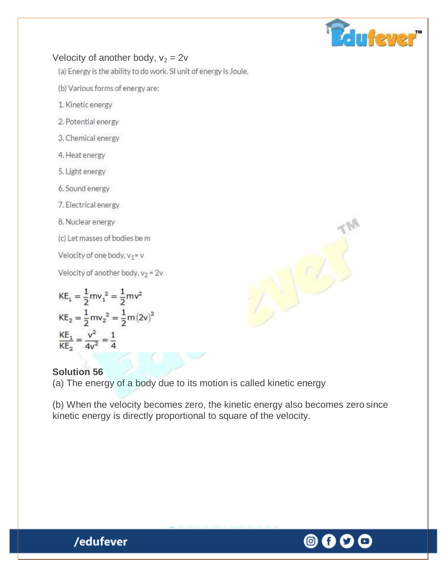

### Velocity of another body,  $v_2 = 2v$

(a) Energy is the ability to do work. SI unit of energy is Joule.

(b) Various forms of energy are:

- 1. Kinetic energy
- 2. Potential energy
- 3. Chemical energy
- 4. Heat energy
- 5. Light energy
- 6. Sound energy

7. Electrical energy

8. Nuclear energy

(c) Let masses of bodies be m

Velocity of one body,  $v_1 = v$ 

Velocity of another body,  $v_2 = 2v$ 

$$
KE_1 = \frac{1}{2}mv_1^2 = \frac{1}{2}mv^2
$$
  
\n
$$
KE_2 = \frac{1}{2}mv_2^2 = \frac{1}{2}m(2v)^2
$$
  
\n
$$
\frac{KE_1}{KE_2} = \frac{v^2}{4v^2} = \frac{1}{4}
$$

### **Solution 56**

(a) The energy of a body due to its motion is called kinetic energy

(b) When the velocity becomes zero, the kinetic energy also becomes zero since kinetic energy is directly proportional to square of the velocity.



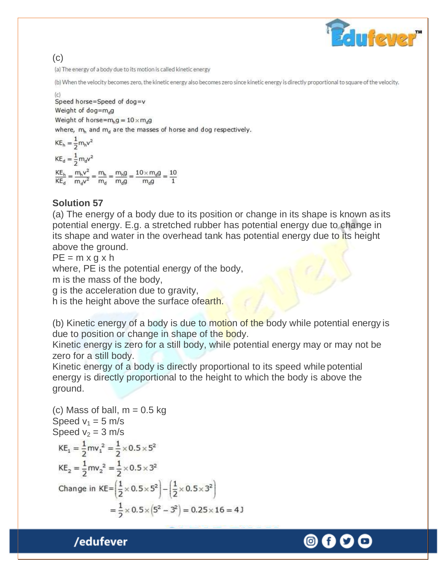$\mathbf{r}$  for  $\mathbf{r}$ s

### (c)

(a) The energy of a body due to its motion is called kinetic energy

(b) When the velocity becomes zero, the kinetic energy also becomes zero since kinetic energy is directly proportional to square of the velocity.

Speed horse=Speed of dog=v Weight of dog=m<sub>d</sub>g Weight of horse= $m_h g = 10 \times m_d g$ where,  $m_h$  and  $m_d$  are the masses of horse and dog respectively.

 $KE_h = \frac{1}{2} m_h v^2$  $KE_{d} = \frac{1}{2} m_{d}v^{2}$  $\frac{KE_h}{KE_d} = \frac{m_h v^2}{m_d v^2} = \frac{m_h}{m_d} = \frac{m_h g}{m_d g} = \frac{10 \times m_d g}{m_d g} = \frac{10}{1}$ 

### **Solution 57**

(a) The energy of a body due to its position or change in its shape is known as its potential energy. E.g. a stretched rubber has potential energy due to change in its shape and water in the overhead tank has potential energy due to its height above the ground.

 $PE = m \times g \times h$ 

where, PE is the potential energy of the body,

m is the mass of the body,

g is the acceleration due to gravity,

h is the height above the surface ofearth.

(b) Kinetic energy of a body is due to motion of the body while potential energy is due to position or change in shape of the body.

Kinetic energy is zero for a still body, while potential energy may or may not be zero for a still body.

Kinetic energy of a body is directly proportional to its speed while potential energy is directly proportional to the height to which the body is above the ground.

(c) Mass of ball,  $m = 0.5$  kg Speed  $v_1 = 5$  m/s Speed  $v_2 = 3$  m/s  $KE_1 = \frac{1}{2}mv_1^2 = \frac{1}{2} \times 0.5 \times 5^2$  $KE_2 = \frac{1}{2}mv_2^2 = \frac{1}{2} \times 0.5 \times 3^2$ Change in  $KE = \left(\frac{1}{2} \times 0.5 \times 5^2\right) - \left(\frac{1}{2} \times 0.5 \times 3^2\right)$  $=\frac{1}{2}\times 0.5\times (5^2-3^2)=0.25\times 16=4$ 

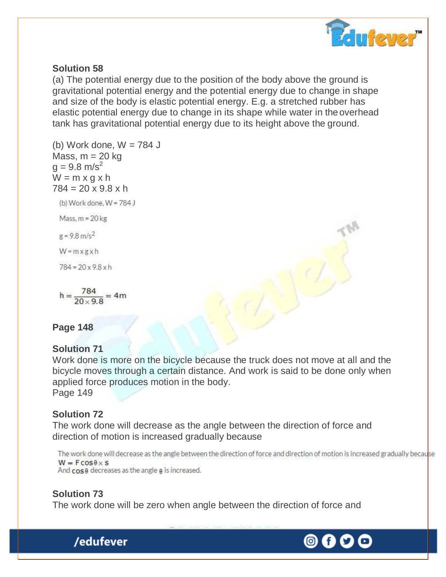

### **Solution 58**

(a) The potential energy due to the position of the body above the ground is gravitational potential energy and the potential energy due to change in shape and size of the body is elastic potential energy. E.g. a stretched rubber has elastic potential energy due to change in its shape while water in theoverhead tank has gravitational potential energy due to its height above the ground.

(b) Work done,  $W = 784$  J Mass,  $m = 20$  kg  $g = 9.8$  m/s<sup>2</sup>  $W = m \times g \times h$  $784 = 20 \times 9.8 \times h$ (b) Work done, W = 784 J

Mass,  $m = 20$  kg

 $g = 9.8 \text{ m/s}^2$ 

 $W = m \times g \times h$ 

 $784 = 20 \times 9.8 \times h$ 

 $h = \frac{784}{20 \times 9.8} = 4m$ 

**Page 148**

#### **Solution 71**

Work done is more on the bicycle because the truck does not move at all and the bicycle moves through a certain distance. And work is said to be done only when applied force produces motion in the body.

Page 149

### **Solution 72**

The work done will decrease as the angle between the direction of force and direction of motion is increased gradually because

```
The work done will decrease as the angle between the direction of force and direction of motion is increased gradually because
W = F \cos \theta \times S
```
And cose decreases as the angle e is increased.

### **Solution 73**

/edufever

The work done will be zero when angle between the direction of force and

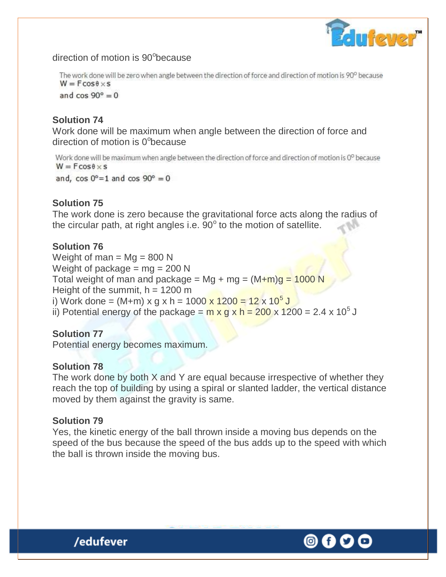

direction of motion is 90°because

The work done will be zero when angle between the direction of force and direction of motion is 90<sup>0</sup> because  $W = F \cos \theta \times s$ 

and  $\cos 90^\circ = 0$ 

### **Solution 74**

Work done will be maximum when angle between the direction of force and direction of motion is 0°because

Work done will be maximum when angle between the direction of force and direction of motion is 0<sup>0</sup> because  $W = F \cos \theta \times s$ 

and,  $\cos 0^\circ = 1$  and  $\cos 90^\circ = 0$ 

### **Solution 75**

The work done is zero because the gravitational force acts along the radius of the circular path, at right angles i.e.  $90^{\circ}$  to the motion of satellite.

### **Solution 76**

Weight of man =  $Mg = 800$  N Weight of package =  $mg = 200 N$ Total weight of man and package = Mg + mg =  $(M+m)q = 1000 N$ Height of the summit,  $h = 1200$  m i) Work done = (M+m) x g x h = 1000 <mark>x 1200 = 12 x 10<sup>5</sup> J</mark> ii) Potential energy of the package =  $\frac{m \times g}{g} \times h = 200 \times 1200 = 2.4 \times 10^5$  J

### **Solution 77**

Potential energy becomes maximum.

### **Solution 78**

The work done by both X and Y are equal because irrespective of whether they reach the top of building by using a spiral or slanted ladder, the vertical distance moved by them against the gravity is same.

### **Solution 79**

Yes, the kinetic energy of the ball thrown inside a moving bus depends on the speed of the bus because the speed of the bus adds up to the speed with which the ball is thrown inside the moving bus.



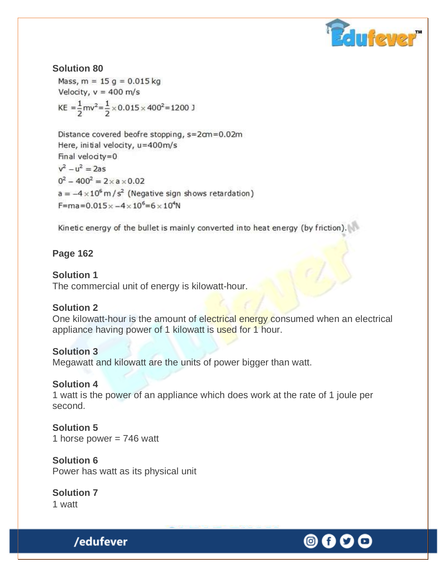

**Solution 80** Mass,  $m = 15$  g = 0.015 kg Velocity,  $v = 400$  m/s KE =  $\frac{1}{2}$ mv<sup>2</sup> =  $\frac{1}{2}$  × 0.015 × 400<sup>2</sup> = 1200 J

Distance covered beofre stopping, s=2cm=0.02m Here, initial velocity, u=400m/s Final velocity=0  $v^2 - u^2 = 2as$  $0^2 - 400^2 = 2 \times a \times 0.02$  $a = -4 \times 10^6 \text{ m/s}^2$  (Negative sign shows retardation)  $F = ma = 0.015 \times -4 \times 10^6 = 6 \times 10^4 N$ 

Kinetic energy of the bullet is mainly converted into heat energy (by friction).

### **Page 162**

#### **Solution 1**

The commercial unit of energy is kilowatt-hour.

#### **Solution 2**

One kilowatt-hour is the amount of electrical energy consumed when an electrical appliance having power of 1 kilowatt is used for 1 hour.

#### **Solution 3**

Megawatt and kilowatt are the units of power bigger than watt.

#### **Solution 4**

1 watt is the power of an appliance which does work at the rate of 1 joule per second.

#### **Solution 5** 1 horse power  $= 746$  watt

**Solution 6** Power has watt as its physical unit

**Solution 7** 1 watt

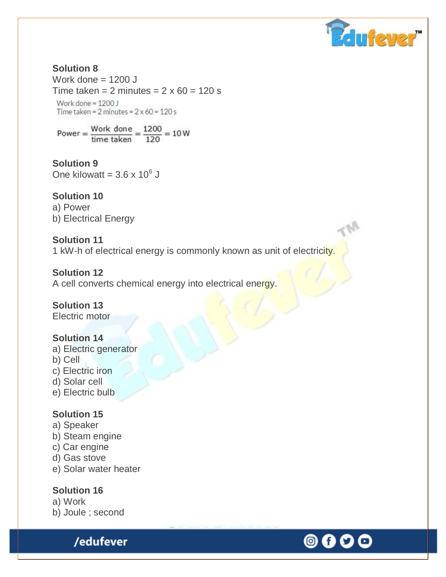

#### **Solution 8** Work done  $= 1200$  J Time taken =  $2$  minutes =  $2 \times 60 = 120$  s Work done = 1200 J Time taken =  $2$  minutes =  $2 \times 60 = 120$  s

Power =  $\frac{\text{Work done}}{\text{time taken}} = \frac{1200}{120} = 10 \text{ W}$ 

**Solution 9** One kilowatt =  $3.6 \times 10^6$  J

## **Solution 10**

a) Power b) Electrical Energy

### **Solution 11**

1 kW-h of electrical energy is commonly known as unit of electricity.

### **Solution 12**

A cell converts chemical energy into electrical energy.

## **Solution 13**

Electric motor

### **Solution 14**

- a) Electric generator
- b) Cell
- c) Electric iron
- d) Solar cell
- e) Electric bulb

### **Solution 15**

- a) Speaker
- b) Steam engine
- c) Car engine
- d) Gas stove
- e) Solar water heater

### **Solution 16**

a) Work b) Joule ; second

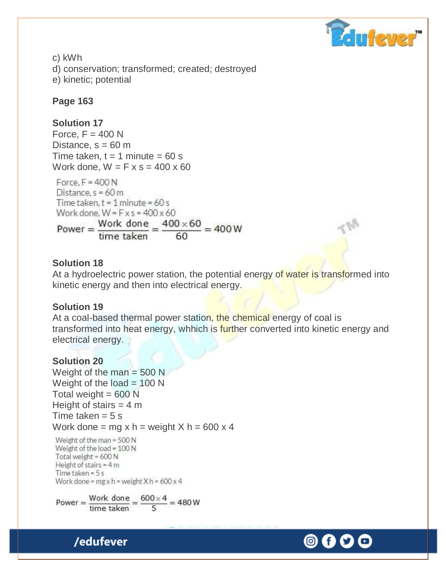

c) kWh d) conservation; transformed; created; destroyed e) kinetic; potential

### **Page 163**

### **Solution 17**

Force,  $F = 400 N$ Distance,  $s = 60$  m Time taken,  $t = 1$  minute = 60 s Work done,  $W = F \times s = 400 \times 60$ 

Force,  $F = 400 N$ Distance,  $s = 60$  m Time taken,  $t = 1$  minute = 60 s Work done,  $W = F \times s = 400 \times 60$ Power =  $\frac{\text{Work done}}{\text{time taken}} = \frac{400 \times 60}{60} = 400 \text{ W}$ 

### **Solution 18**

At a hydroelectric power station, the potential energy of water is transformed into kinetic energy and then into electrical energy.

#### **Solution 19**

At a coal-based thermal power station, the chemical energy of coal is transformed into heat energy, whhich is further converted into kinetic energy and electrical energy.

#### **Solution 20**

Weight of the man  $=$  500 N Weight of the load  $= 100$  N Total weight  $= 600$  N Height of stairs  $= 4$  m Time taken  $= 5$  s Work done = mg x h = weight  $X h = 600 x 4$ 

Weight of the man = 500 N Weight of the load = 100 N Total weight = 600 N Height of stairs =  $4m$ Time taken =  $5 s$ Work done =  $mgx h$  = weight  $X h$  = 600 x 4

Power =  $\frac{\text{Work done}}{\text{time taken}} = \frac{600 \times 4}{5} = 480 \text{ W}$ 

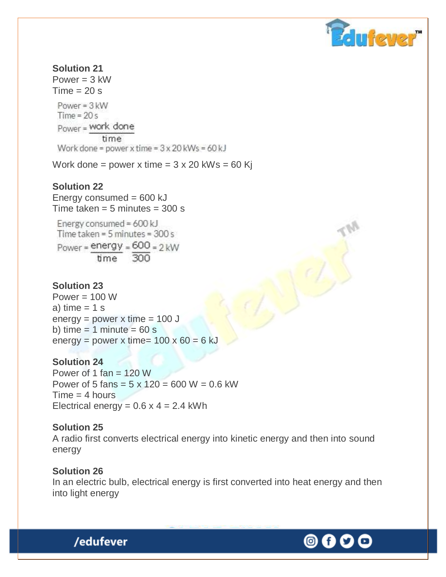

**Solution 21**  Power  $=$  3 kW  $Time = 20 s$  $Power = 3$  kW  $Time = 20s$ Power = work done time Work done = power x time =  $3 \times 20$  kWs =  $60$  kJ

Work done = power x time =  $3 \times 20$  kWs = 60 Kj

#### **Solution 22**

Energy consumed  $= 600$  kJ Time taken  $= 5$  minutes  $= 300$  s

Energy consumed = 600 kJ Time taken =  $5$  minutes =  $300 s$  $Power = energy = 600 = 2kW$ time 300

#### **Solution 23**

Power  $= 100 W$ a) time  $= 1$  s  $energy = power \times time = 100 \text{ J}$ b) time  $= 1$  minute  $= 60$  s energy = power x time=  $100 \times 60 = 6$  kJ

#### **Solution 24**

Power of 1 fan  $= 120$  W Power of 5 fans =  $5 \times 120 = 600 W = 0.6$  kW  $Time = 4 hours$ Electrical energy =  $0.6$  x 4 = 2.4 kWh

#### **Solution 25**

A radio first converts electrical energy into kinetic energy and then into sound energy

#### **Solution 26**

/edufever

In an electric bulb, electrical energy is first converted into heat energy and then into light energy



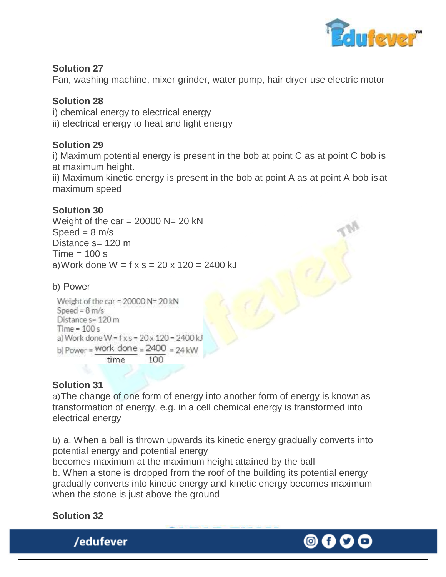

### **Solution 27**

Fan, washing machine, mixer grinder, water pump, hair dryer use electric motor

### **Solution 28**

i) chemical energy to electrical energy

ii) electrical energy to heat and light energy

### **Solution 29**

i) Maximum potential energy is present in the bob at point C as at point C bob is at maximum height.

ii) Maximum kinetic energy is present in the bob at point A as at point A bob isat maximum speed

### **Solution 30**

Weight of the car =  $20000$  N=  $20$  kN Speed  $= 8$  m/s Distance s= 120 m  $Time = 100 s$ a) Work done  $W = f x s = 20 x 120 = 2400 kJ$ 

### b) Power

Weight of the car =  $20000 N = 20 kN$ Speed =  $8 \text{ m/s}$ Distance  $s = 120$  m Time =  $100s$ a) Work done W =  $f \times s = 20 \times 120 = 2400$  kJ b) Power = Work done =  $2400 = 24$  kW time

### **Solution 31**

a)The change of one form of energy into another form of energy is known as transformation of energy, e.g. in a cell chemical energy is transformed into electrical energy

b) a. When a ball is thrown upwards its kinetic energy gradually converts into potential energy and potential energy becomes maximum at the maximum height attained by the ball

b. When a stone is dropped from the roof of the building its potential energy gradually converts into kinetic energy and kinetic energy becomes maximum when the stone is just above the ground

### **Solution 32**

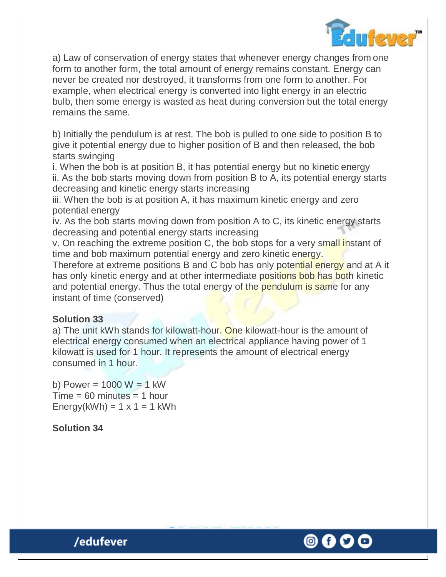

a) Law of conservation of energy states that whenever energy changes from one form to another form, the total amount of energy remains constant. Energy can never be created nor destroyed, it transforms from one form to another. For example, when electrical energy is converted into light energy in an electric bulb, then some energy is wasted as heat during conversion but the total energy remains the same.

b) Initially the pendulum is at rest. The bob is pulled to one side to position B to give it potential energy due to higher position of B and then released, the bob starts swinging

i. When the bob is at position B, it has potential energy but no kinetic energy ii. As the bob starts moving down from position B to A, its potential energy starts decreasing and kinetic energy starts increasing

iii. When the bob is at position A, it has maximum kinetic energy and zero potential energy

iv. As the bob starts moving down from position A to C, its kinetic energy starts decreasing and potential energy starts increasing

v. On reaching the extreme position C, the bob stops for a very small instant of time and bob maximum potential energy and zero kinetic energy.

Therefore at extreme positions B and C bob has only potential energy and at A it has only kinetic energy and at other intermediate positions bob has both kinetic and potential energy. Thus the total energy of the pendulum is same for any instant of time (conserved)

### **Solution 33**

a) The unit kWh stands for kilowatt-hour. One kilowatt-hour is the amount of electrical energy consumed when an electrical appliance having power of 1 kilowatt is used for 1 hour. It represents the amount of electrical energy consumed in 1 hour.

b) Power =  $1000 W = 1 kW$  $Time = 60$  minutes  $= 1$  hour  $Energy(kWh) = 1 \times 1 = 1$  kWh

**Solution 34**

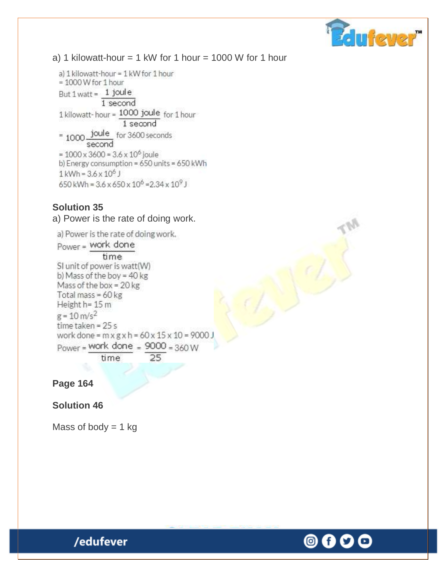

### a) 1 kilowatt-hour  $= 1$  kW for 1 hour  $= 1000$  W for 1 hour

a) 1 kilowatt-hour = 1 kW for 1 hour  $= 1000$  W for 1 hour But 1 watt = 1 joule 1 second 1 kilowatt-hour = 1000 joule for 1 hour 1 second  $= 1000$  joule for 3600 seconds second  $= 1000 \times 3600 = 3.6 \times 10^6$  joule b) Energy consumption = 650 units = 650 kWh  $1$  kWh =  $3.6 \times 10^6$  J 650 kWh =  $3.6 \times 650 \times 10^6$  =  $2.34 \times 10^9$  J

#### **Solution 35**

a) Power is the rate of doing work.

a) Power is the rate of doing work.  $Power = Work done$ time SI unit of power is watt(W) b) Mass of the boy = 40 kg Mass of the box = 20 kg Total mass =  $60 \text{ kg}$ Height h= 15 m  $g = 10 \text{ m/s}^2$ time taken = 25 s work done =  $m \times g \times h = 60 \times 15 \times 10 = 9000$  J Power = work done =  $9000 = 360W$ time 25

**Page 164**

**Solution 46**

Mass of body  $= 1$  kg

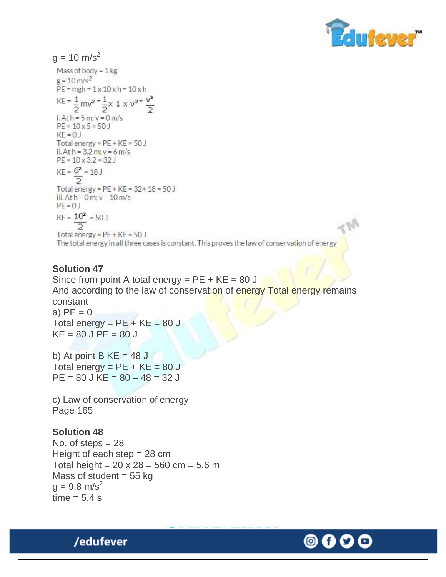

 $g = 10 \text{ m/s}^2$ 

Mass of body =  $1 \text{ kg}$  $g = 10 \text{ m/s}^2$  $PE = mgh = 1 \times 10 \times h = 10 \times h$  $KE = \frac{1}{2}mv^2 = \frac{1}{2} \times 1 \times v^{2} = \frac{v^2}{2}$ i. At  $h = 5$  m;  $v = 0$  m/s  $PE = 10 \times 5 = 50$  $KF = 0$  J Total energy =  $PE + KE = 50$  J ii. At  $h = 3.2$  m;  $v = 6$  m/s  $PE = 10 \times 3.2 = 32 J$  $KE = 6^2 = 18$  J Total energy =  $PE + KE = 32 + 18 = 50 J$ iii. At  $h = 0$  m;  $v = 10$  m/s  $PF = 0$  J  $KE = 10<sup>2</sup> = 50 J$ Total energy =  $PE + KE = 50 J$ 

The total energy in all three cases is constant. This proves the law of conservation of energy

#### **Solution 47**

Since from point A total energy =  $PE + KE = 80 J$ And according to the law of conservation of energy Total energy remains constant a)  $PE = 0$ Total energy =  $PE + KE = 80 J$  $KE = 80$  J PE =  $80$  J

b) At point B  $KE = 48$  J

Total energy =  $PE + KE = 80 J$  $PE = 80$  J KE =  $80 - 48 = 32$  J

c) Law of conservation of energy Page 165

#### **Solution 48**

No. of steps  $= 28$ Height of each step  $= 28$  cm Total height =  $20 \times 28 = 560 \text{ cm} = 5.6 \text{ m}$ Mass of student  $= 55$  kg  $q = 9.8$  m/s<sup>2</sup>  $time = 5.4 s$